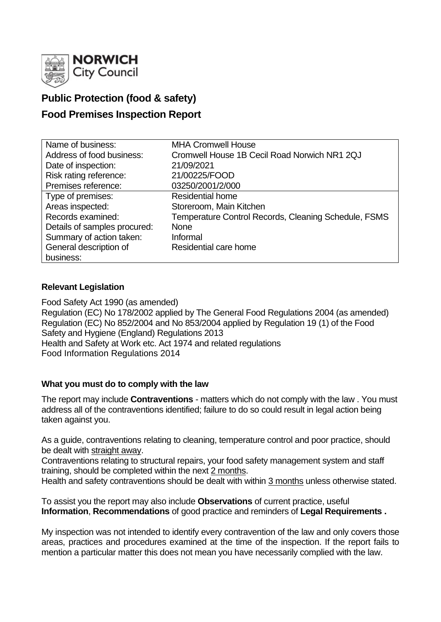

# **Public Protection (food & safety)**

## **Food Premises Inspection Report**

| Name of business:            | <b>MHA Cromwell House</b>                                   |
|------------------------------|-------------------------------------------------------------|
| Address of food business:    | Cromwell House 1B Cecil Road Norwich NR1 2QJ                |
| Date of inspection:          | 21/09/2021                                                  |
| Risk rating reference:       | 21/00225/FOOD                                               |
| Premises reference:          | 03250/2001/2/000                                            |
| Type of premises:            | <b>Residential home</b>                                     |
| Areas inspected:             | Storeroom, Main Kitchen                                     |
| Records examined:            | <b>Temperature Control Records, Cleaning Schedule, FSMS</b> |
| Details of samples procured: | <b>None</b>                                                 |
| Summary of action taken:     | Informal                                                    |
| General description of       | Residential care home                                       |
| business:                    |                                                             |

### **Relevant Legislation**

Food Safety Act 1990 (as amended) Regulation (EC) No 178/2002 applied by The General Food Regulations 2004 (as amended) Regulation (EC) No 852/2004 and No 853/2004 applied by Regulation 19 (1) of the Food Safety and Hygiene (England) Regulations 2013 Health and Safety at Work etc. Act 1974 and related regulations Food Information Regulations 2014

#### **What you must do to comply with the law**

The report may include **Contraventions** - matters which do not comply with the law . You must address all of the contraventions identified; failure to do so could result in legal action being taken against you.

As a guide, contraventions relating to cleaning, temperature control and poor practice, should be dealt with straight away.

Contraventions relating to structural repairs, your food safety management system and staff training, should be completed within the next 2 months.

Health and safety contraventions should be dealt with within 3 months unless otherwise stated.

To assist you the report may also include **Observations** of current practice, useful **Information**, **Recommendations** of good practice and reminders of **Legal Requirements .**

My inspection was not intended to identify every contravention of the law and only covers those areas, practices and procedures examined at the time of the inspection. If the report fails to mention a particular matter this does not mean you have necessarily complied with the law.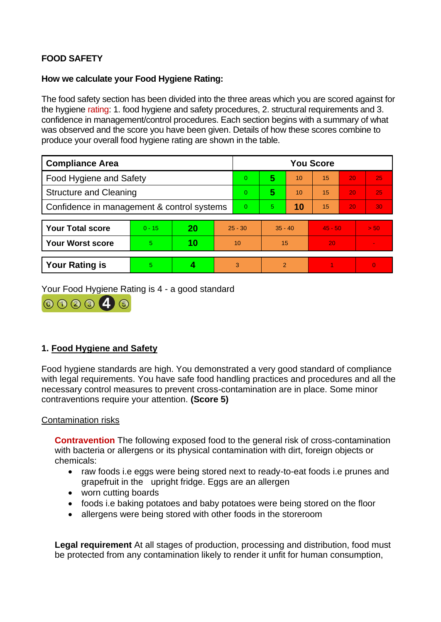## **FOOD SAFETY**

#### **How we calculate your Food Hygiene Rating:**

The food safety section has been divided into the three areas which you are scored against for the hygiene rating: 1. food hygiene and safety procedures, 2. structural requirements and 3. confidence in management/control procedures. Each section begins with a summary of what was observed and the score you have been given. Details of how these scores combine to produce your overall food hygiene rating are shown in the table.

| <b>Compliance Area</b>                     |          |    |           | <b>You Score</b> |               |    |           |    |                |  |
|--------------------------------------------|----------|----|-----------|------------------|---------------|----|-----------|----|----------------|--|
| <b>Food Hygiene and Safety</b>             |          |    |           | $\overline{0}$   | 5             | 10 | 15        | 20 | 25             |  |
| <b>Structure and Cleaning</b>              |          |    |           | $\Omega$         | 5             | 10 | 15        | 20 | 25             |  |
| Confidence in management & control systems |          |    |           | $\Omega$         | 5.            | 10 | 15        | 20 | 30             |  |
|                                            |          |    |           |                  |               |    |           |    |                |  |
| <b>Your Total score</b>                    | $0 - 15$ | 20 | $25 - 30$ |                  | $35 - 40$     |    | $45 - 50$ |    | > 50           |  |
| <b>Your Worst score</b>                    | 5        | 10 | 10        |                  | 15            |    | 20        |    | $\sim$         |  |
|                                            |          |    |           |                  |               |    |           |    |                |  |
| <b>Your Rating is</b>                      | 5        |    |           | 3                | $\mathcal{P}$ |    |           |    | $\overline{0}$ |  |

Your Food Hygiene Rating is 4 - a good standard



## **1. Food Hygiene and Safety**

Food hygiene standards are high. You demonstrated a very good standard of compliance with legal requirements. You have safe food handling practices and procedures and all the necessary control measures to prevent cross-contamination are in place. Some minor contraventions require your attention. **(Score 5)**

#### Contamination risks

**Contravention** The following exposed food to the general risk of cross-contamination with bacteria or allergens or its physical contamination with dirt, foreign objects or chemicals:

- raw foods i.e eggs were being stored next to ready-to-eat foods i.e prunes and grapefruit in the upright fridge. Eggs are an allergen
- worn cutting boards
- foods i.e baking potatoes and baby potatoes were being stored on the floor
- allergens were being stored with other foods in the storeroom

**Legal requirement** At all stages of production, processing and distribution, food must be protected from any contamination likely to render it unfit for human consumption,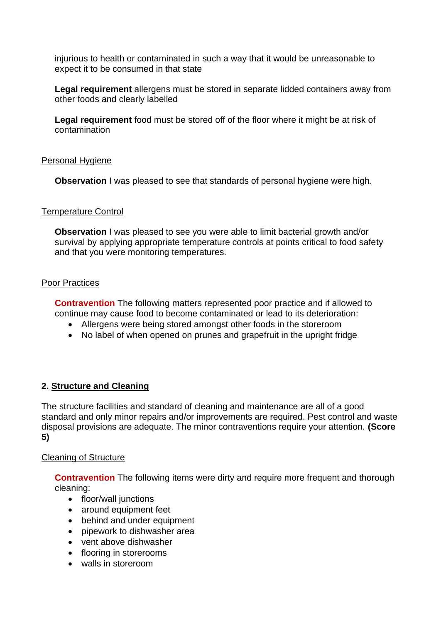injurious to health or contaminated in such a way that it would be unreasonable to expect it to be consumed in that state

**Legal requirement** allergens must be stored in separate lidded containers away from other foods and clearly labelled

**Legal requirement** food must be stored off of the floor where it might be at risk of contamination

### Personal Hygiene

**Observation** I was pleased to see that standards of personal hygiene were high.

### Temperature Control

**Observation** I was pleased to see you were able to limit bacterial growth and/or survival by applying appropriate temperature controls at points critical to food safety and that you were monitoring temperatures.

### Poor Practices

**Contravention** The following matters represented poor practice and if allowed to continue may cause food to become contaminated or lead to its deterioration:

- Allergens were being stored amongst other foods in the storeroom
- No label of when opened on prunes and grapefruit in the upright fridge

## **2. Structure and Cleaning**

The structure facilities and standard of cleaning and maintenance are all of a good standard and only minor repairs and/or improvements are required. Pest control and waste disposal provisions are adequate. The minor contraventions require your attention. **(Score 5)**

#### Cleaning of Structure

**Contravention** The following items were dirty and require more frequent and thorough cleaning:

- floor/wall junctions
- around equipment feet
- behind and under equipment
- pipework to dishwasher area
- vent above dishwasher
- flooring in storerooms
- walls in storeroom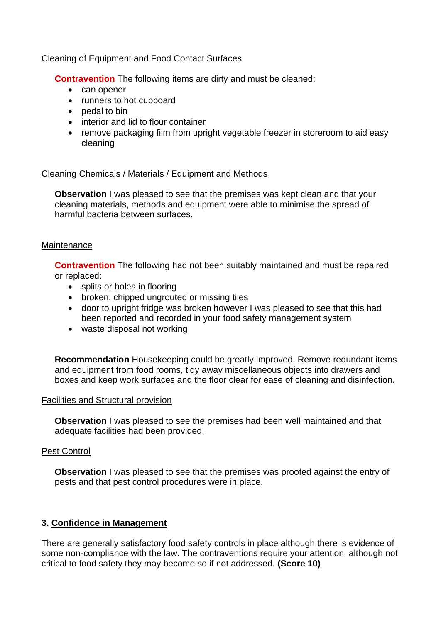#### Cleaning of Equipment and Food Contact Surfaces

**Contravention** The following items are dirty and must be cleaned:

- can opener
- runners to hot cupboard
- pedal to bin
- interior and lid to flour container
- remove packaging film from upright vegetable freezer in storeroom to aid easy cleaning

#### Cleaning Chemicals / Materials / Equipment and Methods

**Observation** I was pleased to see that the premises was kept clean and that your cleaning materials, methods and equipment were able to minimise the spread of harmful bacteria between surfaces.

#### **Maintenance**

**Contravention** The following had not been suitably maintained and must be repaired or replaced:

- splits or holes in flooring
- broken, chipped ungrouted or missing tiles
- door to upright fridge was broken however I was pleased to see that this had been reported and recorded in your food safety management system
- waste disposal not working

**Recommendation** Housekeeping could be greatly improved. Remove redundant items and equipment from food rooms, tidy away miscellaneous objects into drawers and boxes and keep work surfaces and the floor clear for ease of cleaning and disinfection.

#### Facilities and Structural provision

**Observation** I was pleased to see the premises had been well maintained and that adequate facilities had been provided.

## Pest Control

**Observation** I was pleased to see that the premises was proofed against the entry of pests and that pest control procedures were in place.

## **3. Confidence in Management**

There are generally satisfactory food safety controls in place although there is evidence of some non-compliance with the law. The contraventions require your attention; although not critical to food safety they may become so if not addressed. **(Score 10)**